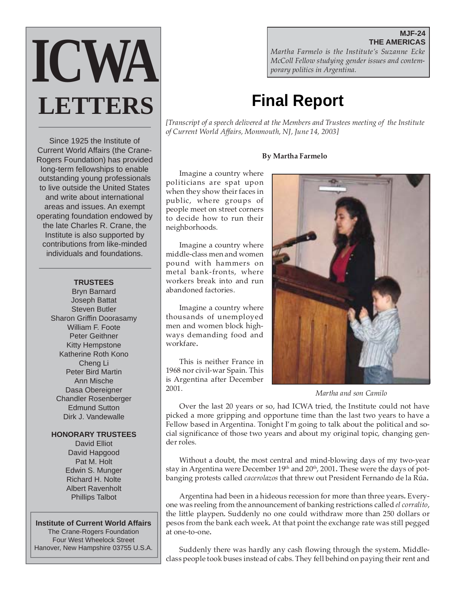# **ICWA LETTERS**

Since 1925 the Institute of Current World Affairs (the Crane-Rogers Foundation) has provided long-term fellowships to enable outstanding young professionals to live outside the United States and write about international areas and issues. An exempt operating foundation endowed by the late Charles R. Crane, the Institute is also supported by contributions from like-minded individuals and foundations.

### **TRUSTEES**

Bryn Barnard Joseph Battat Steven Butler Sharon Griffin Doorasamy William F. Foote Peter Geithner Kitty Hempstone Katherine Roth Kono Cheng Li Peter Bird Martin Ann Mische Dasa Obereigner Chandler Rosenberger Edmund Sutton Dirk J. Vandewalle

### **HONORARY TRUSTEES**

David Elliot David Hapgood Pat M. Holt Edwin S. Munger Richard H. Nolte Albert Ravenholt Phillips Talbot

### **Institute of Current World Affairs**

The Crane-Rogers Foundation Four West Wheelock Street Hanover, New Hampshire 03755 U.S.A.

**THE AMERICAS** *Martha Farmelo is the Institute's Suzanne Ecke McColl Fellow studying gender issues and contemporary politics in Argentina.*

## **Final Report**

*[Transcript of a speech delivered at the Members and Trustees meeting of the Institute of Current World Affairs, Monmouth, NJ, June 14, 2003]*

### **By Martha Farmelo**

Imagine a country where politicians are spat upon when they show their faces in public, where groups of people meet on street corners to decide how to run their neighborhoods.

Imagine a country where middle-class men and women pound with hammers on metal bank-fronts, where workers break into and run abandoned factories.

Imagine a country where thousands of unemployed men and women block highways demanding food and workfare**.**

This is neither France in 1968 nor civil-war Spain. This is Argentina after December 2001.



*Martha and son Camilo*

Over the last 20 years or so, had ICWA tried, the Institute could not have picked a more gripping and opportune time than the last two years to have a Fellow based in Argentina. Tonight I'm going to talk about the political and social significance of those two years and about my original topic, changing gender roles.

Without a doubt, the most central and mind-blowing days of my two-year stay in Argentina were December 19<sup>th</sup> and 20<sup>th</sup>, 2001. These were the days of potbanging protests called *cacerolazos* that threw out President Fernando de la Rúa**.**

Argentina had been in a hideous recession for more than three years**.** Everyone was reeling from the announcement of banking restrictions called *el corralito*, the little playpen*.* Suddenly no one could withdraw more than 250 dollars or pesos from the bank each week**.** At that point the exchange rate was still pegged at one-to-one**.**

Suddenly there was hardly any cash flowing through the system**.** Middleclass people took buses instead of cabs. They fell behind on paying their rent and

### **MJF-24**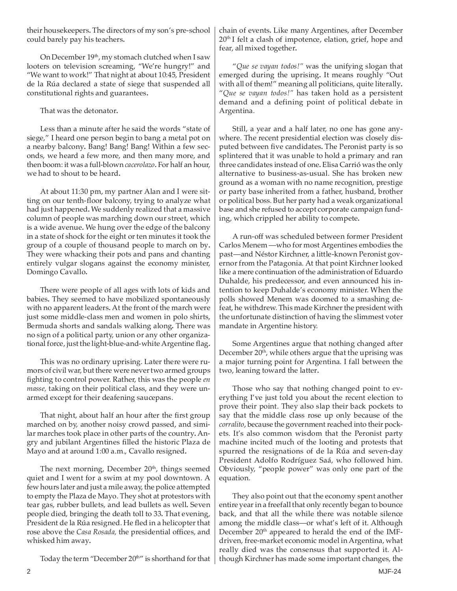their housekeepers**.** The directors of my son's pre-school could barely pay his teachers**.**

On December 19<sup>th</sup>, my stomach clutched when I saw looters on television screaming, "We're hungry!" and "We want to work!" That night at about 10:45, President de la Rúa declared a state of siege that suspended all constitutional rights and guarantees**.**

That was the detonator**.**

Less than a minute after he said the words "state of siege," I heard one person begin to bang a metal pot on a nearby balcony**.** Bang! Bang! Bang! Within a few seconds, we heard a few more, and then many more, and then boom: it was a full-blown *cacerolazo.* For half an hour, we had to shout to be heard**.**

At about 11:30 pm, my partner Alan and I were sitting on our tenth-floor balcony, trying to analyze what had just happened**.** We suddenly realized that a massive column of people was marching down our street, which is a wide avenue**.** We hung over the edge of the balcony in a state of shock for the eight or ten minutes it took the group of a couple of thousand people to march on by**.** They were whacking their pots and pans and chanting entirely vulgar slogans against the economy minister, Domingo Cavallo**.**

There were people of all ages with lots of kids and babies**.** They seemed to have mobilized spontaneously with no apparent leaders**.** At the front of the march were just some middle-class men and women in polo shirts, Bermuda shorts and sandals walking along**.** There was no sign of a political party, union or any other organizational force, just the light-blue-and-white Argentine flag**.**

This was no ordinary uprising. Later there were rumors of civil war, but there were never two armed groups fighting to control power. Rather, this was the people *en masse,* taking on their political class, and they were unarmed except for their deafening saucepans.

That night, about half an hour after the first group marched on by, another noisy crowd passed, and similar marches took place in other parts of the country**.** Angry and jubilant Argentines filled the historic Plaza de Mayo and at around 1:00 a.m., Cavallo resigned**.**

The next morning, December 20<sup>th</sup>, things seemed quiet and I went for a swim at my pool downtown. A few hours later and just a mile away, the police attempted to empty the Plaza de Mayo. They shot at protestors with tear gas, rubber bullets, and lead bullets as well**.** Seven people died, bringing the death toll to 33**.** That evening, President de la Rúa resigned. He fled in a helicopter that rose above the *Casa Rosada,* the presidential offices, and whisked him away**.**

Today the term "December 20<sup>th</sup>" is shorthand for that

chain of events**.** Like many Argentines, after December  $20<sup>th</sup>$  I felt a clash of impotence, elation, grief, hope and fear, all mixed together**.**

"*Que se vayan todos!"* was the unifying slogan that emerged during the uprising**.** It means roughly "Out with all of them!" meaning all politicians, quite literally**.** "*Que se vayan todos!"* has taken hold as a persistent demand and a defining point of political debate in Argentina.

Still, a year and a half later, no one has gone anywhere. The recent presidential election was closely disputed between five candidates**.** The Peronist party is so splintered that it was unable to hold a primary and ran three candidates instead of one**.** Elisa Carrió was the only alternative to business-as-usual. She has broken new ground as a woman with no name recognition, prestige or party base inherited from a father, husband, brother or political boss. But her party had a weak organizational base and she refused to accept corporate campaign funding, which crippled her ability to compete**.**

A run-off was scheduled between former President Carlos Menem —who for most Argentines embodies the past—and Néstor Kirchner, a little-known Peronist governor from the Patagonia. At that point Kirchner looked like a mere continuation of the administration of Eduardo Duhalde, his predecessor, and even announced his intention to keep Duhalde's economy minister. When the polls showed Menem was doomed to a smashing defeat, he withdrew. This made Kirchner the president with the unfortunate distinction of having the slimmest voter mandate in Argentine history.

Some Argentines argue that nothing changed after December 20<sup>th</sup>, while others argue that the uprising was a major turning point for Argentina. I fall between the two, leaning toward the latter**.**

Those who say that nothing changed point to everything I've just told you about the recent election to prove their point. They also slap their back pockets to say that the middle class rose up only because of the *corralito*, because the government reached into their pockets. It's also common wisdom that the Peronist party machine incited much of the looting and protests that spurred the resignations of de la Rúa and seven-day President Adolfo Rodríguez Saá, who followed him. Obviously, "people power" was only one part of the equation.

They also point out that the economy spent another entire year in a freefall that only recently began to bounce back, and that all the while there was notable silence among the middle class—or what's left of it. Although December  $20<sup>th</sup>$  appeared to herald the end of the IMFdriven, free-market economic model in Argentina, what really died was the consensus that supported it. Although Kirchner has made some important changes, the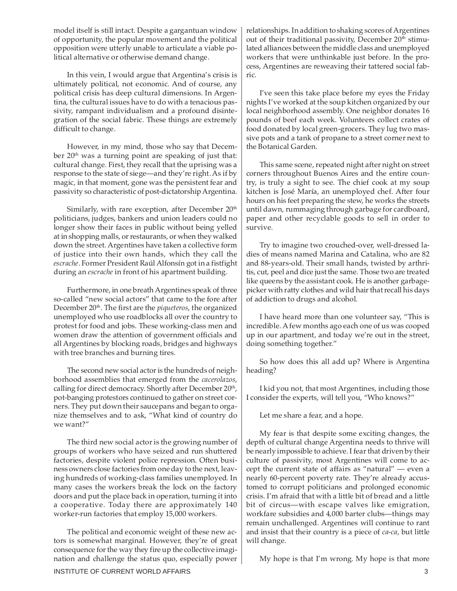model itself is still intact. Despite a gargantuan window of opportunity, the popular movement and the political opposition were utterly unable to articulate a viable political alternative or otherwise demand change.

In this vein, I would argue that Argentina's crisis is ultimately political, not economic. And of course, any political crisis has deep cultural dimensions. In Argentina, the cultural issues have to do with a tenacious passivity, rampant individualism and a profound disintegration of the social fabric. These things are extremely difficult to change.

However, in my mind, those who say that December 20<sup>th</sup> was a turning point are speaking of just that: cultural change. First, they recall that the uprising was a response to the state of siege—and they're right. As if by magic, in that moment, gone was the persistent fear and passivity so characteristic of post-dictatorship Argentina.

Similarly, with rare exception, after December  $20<sup>th</sup>$ politicians, judges, bankers and union leaders could no longer show their faces in public without being yelled at in shopping malls, or restaurants, or when they walked down the street. Argentines have taken a collective form of justice into their own hands, which they call the *escrache*. Former President Raúl Alfonsín got in a fistfight during an *escrache* in front of his apartment building.

Furthermore, in one breath Argentines speak of three so-called "new social actors" that came to the fore after December 20th. The first are the *piqueteros*, the organized unemployed who use roadblocks all over the country to protest for food and jobs. These working-class men and women draw the attention of government officials and all Argentines by blocking roads, bridges and highways with tree branches and burning tires.

The second new social actor is the hundreds of neighborhood assemblies that emerged from the *cacerolazos*, calling for direct democracy. Shortly after December 20<sup>th</sup>, pot-banging protestors continued to gather on street corners. They put down their saucepans and began to organize themselves and to ask, "What kind of country do we want?"

The third new social actor is the growing number of groups of workers who have seized and run shuttered factories, despite violent police repression. Often business owners close factories from one day to the next, leaving hundreds of working-class families unemployed. In many cases the workers break the lock on the factory doors and put the place back in operation, turning it into a cooperative. Today there are approximately 140 worker-run factories that employ 15,000 workers.

The political and economic weight of these new actors is somewhat marginal. However, they're of great consequence for the way they fire up the collective imagination and challenge the status quo, especially power relationships. In addition to shaking scores of Argentines out of their traditional passivity, December  $20<sup>th</sup>$  stimulated alliances between the middle class and unemployed workers that were unthinkable just before. In the process, Argentines are reweaving their tattered social fabric.

I've seen this take place before my eyes the Friday nights I've worked at the soup kitchen organized by our local neighborhood assembly. One neighbor donates 16 pounds of beef each week. Volunteers collect crates of food donated by local green-grocers. They lug two massive pots and a tank of propane to a street corner next to the Botanical Garden.

This same scene, repeated night after night on street corners throughout Buenos Aires and the entire country, is truly a sight to see. The chief cook at my soup kitchen is José María, an unemployed chef. After four hours on his feet preparing the stew, he works the streets until dawn, rummaging through garbage for cardboard, paper and other recyclable goods to sell in order to survive.

Try to imagine two crouched-over, well-dressed ladies of means named Marina and Catalina, who are 82 and 88-years-old. Their small hands, twisted by arthritis, cut, peel and dice just the same. Those two are treated like queens by the assistant cook. He is another garbagepicker with ratty clothes and wild hair that recall his days of addiction to drugs and alcohol.

I have heard more than one volunteer say, "This is incredible. A few months ago each one of us was cooped up in our apartment, and today we're out in the street, doing something together."

So how does this all add up? Where is Argentina heading?

I kid you not, that most Argentines, including those I consider the experts, will tell you, "Who knows?"

Let me share a fear, and a hope.

My fear is that despite some exciting changes, the depth of cultural change Argentina needs to thrive will be nearly impossible to achieve. I fear that driven by their culture of passivity, most Argentines will come to accept the current state of affairs as "natural" — even a nearly 60-percent poverty rate. They're already accustomed to corrupt politicians and prolonged economic crisis. I'm afraid that with a little bit of bread and a little bit of circus—with escape valves like emigration, workfare subsidies and 4,000 barter clubs—things may remain unchallenged. Argentines will continue to rant and insist that their country is a piece of *ca-ca*, but little will change.

My hope is that I'm wrong. My hope is that more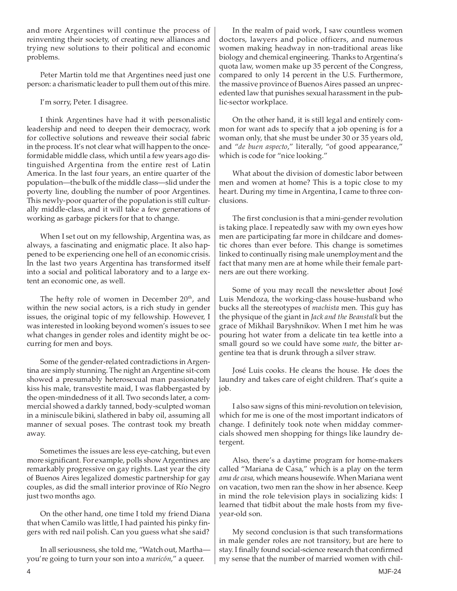and more Argentines will continue the process of reinventing their society, of creating new alliances and trying new solutions to their political and economic problems.

Peter Martin told me that Argentines need just one person: a charismatic leader to pull them out of this mire.

I'm sorry, Peter. I disagree.

I think Argentines have had it with personalistic leadership and need to deepen their democracy, work for collective solutions and reweave their social fabric in the process. It's not clear what will happen to the onceformidable middle class, which until a few years ago distinguished Argentina from the entire rest of Latin America. In the last four years, an entire quarter of the population—the bulk of the middle class—slid under the poverty line, doubling the number of poor Argentines. This newly-poor quarter of the population is still culturally middle-class, and it will take a few generations of working as garbage pickers for that to change.

When I set out on my fellowship, Argentina was, as always, a fascinating and enigmatic place. It also happened to be experiencing one hell of an economic crisis. In the last two years Argentina has transformed itself into a social and political laboratory and to a large extent an economic one, as well.

The hefty role of women in December  $20<sup>th</sup>$ , and within the new social actors, is a rich study in gender issues, the original topic of my fellowship. However, I was interested in looking beyond women's issues to see what changes in gender roles and identity might be occurring for men and boys.

Some of the gender-related contradictions in Argentina are simply stunning. The night an Argentine sit-com showed a presumably heterosexual man passionately kiss his male, transvestite maid, I was flabbergasted by the open-mindedness of it all. Two seconds later, a commercial showed a darkly tanned, body-sculpted woman in a miniscule bikini, slathered in baby oil, assuming all manner of sexual poses. The contrast took my breath away.

Sometimes the issues are less eye-catching, but even more significant. For example, polls show Argentines are remarkably progressive on gay rights. Last year the city of Buenos Aires legalized domestic partnership for gay couples, as did the small interior province of Río Negro just two months ago.

On the other hand, one time I told my friend Diana that when Camilo was little, I had painted his pinky fingers with red nail polish. Can you guess what she said?

In all seriousness, she told me, "Watch out, Martha you're going to turn your son into a *maricón*," a queer.

In the realm of paid work, I saw countless women doctors, lawyers and police officers, and numerous women making headway in non-traditional areas like biology and chemical engineering. Thanks to Argentina's quota law, women make up 35 percent of the Congress, compared to only 14 percent in the U.S. Furthermore, the massive province of Buenos Aires passed an unprecedented law that punishes sexual harassment in the public-sector workplace.

On the other hand, it is still legal and entirely common for want ads to specify that a job opening is for a woman only, that she must be under 30 or 35 years old, and "*de buen aspecto*," literally, "of good appearance," which is code for "nice looking."

What about the division of domestic labor between men and women at home? This is a topic close to my heart. During my time in Argentina, I came to three conclusions.

The first conclusion is that a mini-gender revolution is taking place. I repeatedly saw with my own eyes how men are participating far more in childcare and domestic chores than ever before. This change is sometimes linked to continually rising male unemployment and the fact that many men are at home while their female partners are out there working.

Some of you may recall the newsletter about José Luis Mendoza, the working-class house-husband who bucks all the stereotypes of *machista* men. This guy has the physique of the giant in *Jack and the Beanstalk* but the grace of Mikhail Baryshnikov. When I met him he was pouring hot water from a delicate tin tea kettle into a small gourd so we could have some *mate*, the bitter argentine tea that is drunk through a silver straw.

José Luis cooks. He cleans the house. He does the laundry and takes care of eight children. That's quite a job.

I also saw signs of this mini-revolution on television, which for me is one of the most important indicators of change. I definitely took note when midday commercials showed men shopping for things like laundry detergent.

Also, there's a daytime program for home-makers called "Mariana de Casa," which is a play on the term *ama de casa*, which means housewife. When Mariana went on vacation, two men ran the show in her absence. Keep in mind the role television plays in socializing kids: I learned that tidbit about the male hosts from my fiveyear-old son.

My second conclusion is that such transformations in male gender roles are not transitory, but are here to stay. I finally found social-science research that confirmed my sense that the number of married women with chil-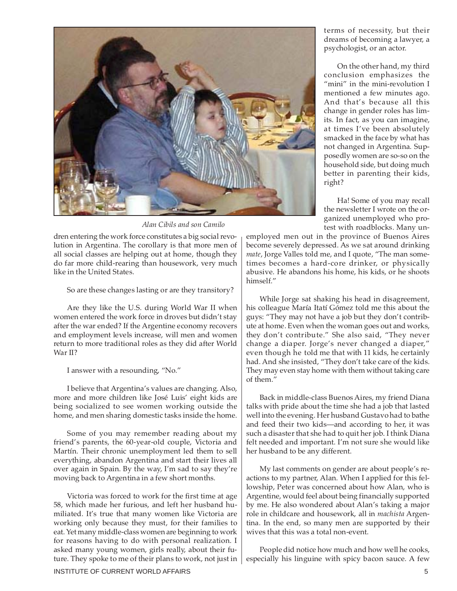

*Alan Cibils and son Camilo*

dren entering the work force constitutes a big social revolution in Argentina. The corollary is that more men of all social classes are helping out at home, though they do far more child-rearing than housework, very much like in the United States.

So are these changes lasting or are they transitory?

Are they like the U.S. during World War II when women entered the work force in droves but didn't stay after the war ended? If the Argentine economy recovers and employment levels increase, will men and women return to more traditional roles as they did after World War II?

I answer with a resounding, "No."

I believe that Argentina's values are changing. Also, more and more children like José Luis' eight kids are being socialized to see women working outside the home, and men sharing domestic tasks inside the home.

Some of you may remember reading about my friend's parents, the 60-year-old couple, Victoria and Martín. Their chronic unemployment led them to sell everything, abandon Argentina and start their lives all over again in Spain. By the way, I'm sad to say they're moving back to Argentina in a few short months.

Victoria was forced to work for the first time at age 58, which made her furious, and left her husband humiliated. It's true that many women like Victoria are working only because they must, for their families to eat. Yet many middle-class women are beginning to work for reasons having to do with personal realization. I asked many young women, girls really, about their future. They spoke to me of their plans to work, not just in terms of necessity, but their dreams of becoming a lawyer, a psychologist, or an actor.

On the other hand, my third conclusion emphasizes the "mini" in the mini-revolution I mentioned a few minutes ago. And that's because all this change in gender roles has limits. In fact, as you can imagine, at times I've been absolutely smacked in the face by what has not changed in Argentina. Supposedly women are so-so on the household side, but doing much better in parenting their kids, right?

Ha! Some of you may recall the newsletter I wrote on the organized unemployed who protest with roadblocks. Many un-

employed men out in the province of Buenos Aires become severely depressed. As we sat around drinking *mate*, Jorge Valles told me, and I quote, "The man sometimes becomes a hard-core drinker, or physically abusive. He abandons his home, his kids, or he shoots himself."

While Jorge sat shaking his head in disagreement, his colleague María Itatí Gómez told me this about the guys: "They may not have a job but they don't contribute at home. Even when the woman goes out and works, they don't contribute." She also said, "They never change a diaper. Jorge's never changed a diaper," even though he told me that with 11 kids, he certainly had. And she insisted, "They don't take care of the kids. They may even stay home with them without taking care of them."

Back in middle-class Buenos Aires, my friend Diana talks with pride about the time she had a job that lasted well into the evening. Her husband Gustavo had to bathe and feed their two kids—and according to her, it was such a disaster that she had to quit her job. I think Diana felt needed and important. I'm not sure she would like her husband to be any different.

My last comments on gender are about people's reactions to my partner, Alan. When I applied for this fellowship, Peter was concerned about how Alan, who is Argentine, would feel about being financially supported by me. He also wondered about Alan's taking a major role in childcare and housework, all in *machista* Argentina. In the end, so many men are supported by their wives that this was a total non-event.

People did notice how much and how well he cooks, especially his linguine with spicy bacon sauce. A few

INSTITUTE OF CURRENT WORLD AFFAIRS **5**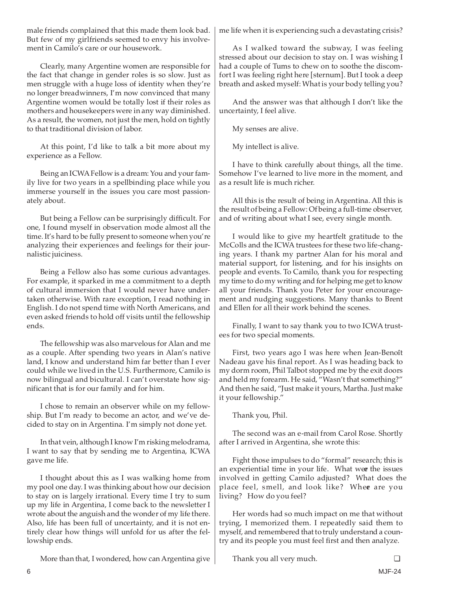male friends complained that this made them look bad. But few of my girlfriends seemed to envy his involvement in Camilo's care or our housework.

Clearly, many Argentine women are responsible for the fact that change in gender roles is so slow. Just as men struggle with a huge loss of identity when they're no longer breadwinners, I'm now convinced that many Argentine women would be totally lost if their roles as mothers and housekeepers were in any way diminished. As a result, the women, not just the men, hold on tightly to that traditional division of labor.

At this point, I'd like to talk a bit more about my experience as a Fellow.

Being an ICWA Fellow is a dream: You and your family live for two years in a spellbinding place while you immerse yourself in the issues you care most passionately about.

But being a Fellow can be surprisingly difficult. For one, I found myself in observation mode almost all the time. It's hard to be fully present to someone when you're analyzing their experiences and feelings for their journalistic juiciness.

Being a Fellow also has some curious advantages. For example, it sparked in me a commitment to a depth of cultural immersion that I would never have undertaken otherwise. With rare exception, I read nothing in English. I do not spend time with North Americans, and even asked friends to hold off visits until the fellowship ends.

The fellowship was also marvelous for Alan and me as a couple. After spending two years in Alan's native land, I know and understand him far better than I ever could while we lived in the U.S. Furthermore, Camilo is now bilingual and bicultural. I can't overstate how significant that is for our family and for him.

I chose to remain an observer while on my fellowship. But I'm ready to become an actor, and we've decided to stay on in Argentina. I'm simply not done yet.

In that vein, although I know I'm risking melodrama, I want to say that by sending me to Argentina, ICWA gave me life.

I thought about this as I was walking home from my pool one day. I was thinking about how our decision to stay on is largely irrational. Every time I try to sum up my life in Argentina, I come back to the newsletter I wrote about the anguish and the wonder of my life there. Also, life has been full of uncertainty, and it is not entirely clear how things will unfold for us after the fellowship ends.

More than that, I wondered, how can Argentina give

me life when it is experiencing such a devastating crisis?

As I walked toward the subway, I was feeling stressed about our decision to stay on. I was wishing I had a couple of Tums to chew on to soothe the discomfort I was feeling right here [sternum]. But I took a deep breath and asked myself: What is your body telling you?

And the answer was that although I don't like the uncertainty, I feel alive.

My senses are alive.

My intellect is alive.

I have to think carefully about things, all the time. Somehow I've learned to live more in the moment, and as a result life is much richer.

All this is the result of being in Argentina. All this is the result of being a Fellow: Of being a full-time observer, and of writing about what I see, every single month.

I would like to give my heartfelt gratitude to the McColls and the ICWA trustees for these two life-changing years. I thank my partner Alan for his moral and material support, for listening, and for his insights on people and events. To Camilo, thank you for respecting my time to do my writing and for helping me get to know all your friends. Thank you Peter for your encouragement and nudging suggestions. Many thanks to Brent and Ellen for all their work behind the scenes.

Finally, I want to say thank you to two ICWA trustees for two special moments.

First, two years ago I was here when Jean-Benoît Nadeau gave his final report. As I was heading back to my dorm room, Phil Talbot stopped me by the exit doors and held my forearm. He said, "Wasn't that something?" And then he said, "Just make it yours, Martha. Just make it your fellowship."

Thank you, Phil.

The second was an e-mail from Carol Rose. Shortly after I arrived in Argentina, she wrote this:

Fight those impulses to do "formal" research; this is an experiential time in your life. What wee the issues involved in getting Camilo adjusted? What does the place feel, smell, and look like? Whee are you living? How do you feel?

Her words had so much impact on me that without trying, I memorized them. I repeatedly said them to myself, and remembered that to truly understand a country and its people you must feel first and then analyze.

Thank you all very much. ❏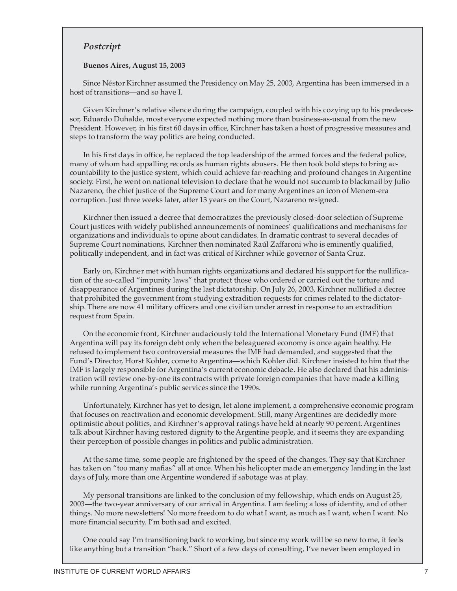### *Postcript*

#### **Buenos Aires, August 15, 2003**

Since Néstor Kirchner assumed the Presidency on May 25, 2003, Argentina has been immersed in a host of transitions—and so have I.

Given Kirchner's relative silence during the campaign, coupled with his cozying up to his predecessor, Eduardo Duhalde, most everyone expected nothing more than business-as-usual from the new President. However, in his first 60 days in office, Kirchner has taken a host of progressive measures and steps to transform the way politics are being conducted.

In his first days in office, he replaced the top leadership of the armed forces and the federal police, many of whom had appalling records as human rights abusers. He then took bold steps to bring accountability to the justice system, which could achieve far-reaching and profound changes in Argentine society. First, he went on national television to declare that he would not succumb to blackmail by Julio Nazareno, the chief justice of the Supreme Court and for many Argentines an icon of Menem-era corruption. Just three weeks later, after 13 years on the Court, Nazareno resigned.

Kirchner then issued a decree that democratizes the previously closed-door selection of Supreme Court justices with widely published announcements of nominees' qualifications and mechanisms for organizations and individuals to opine about candidates. In dramatic contrast to several decades of Supreme Court nominations, Kirchner then nominated Raúl Zaffaroni who is eminently qualified, politically independent, and in fact was critical of Kirchner while governor of Santa Cruz.

Early on, Kirchner met with human rights organizations and declared his support for the nullification of the so-called "impunity laws" that protect those who ordered or carried out the torture and disappearance of Argentines during the last dictatorship. On July 26, 2003, Kirchner nullified a decree that prohibited the government from studying extradition requests for crimes related to the dictatorship. There are now 41 military officers and one civilian under arrest in response to an extradition request from Spain.

On the economic front, Kirchner audaciously told the International Monetary Fund (IMF) that Argentina will pay its foreign debt only when the beleaguered economy is once again healthy. He refused to implement two controversial measures the IMF had demanded, and suggested that the Fund's Director, Horst Kohler, come to Argentina—which Kohler did. Kirchner insisted to him that the IMF is largely responsible for Argentina's current economic debacle. He also declared that his administration will review one-by-one its contracts with private foreign companies that have made a killing while running Argentina's public services since the 1990s.

Unfortunately, Kirchner has yet to design, let alone implement, a comprehensive economic program that focuses on reactivation and economic development. Still, many Argentines are decidedly more optimistic about politics, and Kirchner's approval ratings have held at nearly 90 percent. Argentines talk about Kirchner having restored dignity to the Argentine people, and it seems they are expanding their perception of possible changes in politics and public administration.

At the same time, some people are frightened by the speed of the changes. They say that Kirchner has taken on "too many mafias" all at once. When his helicopter made an emergency landing in the last days of July, more than one Argentine wondered if sabotage was at play.

My personal transitions are linked to the conclusion of my fellowship, which ends on August 25, 2003—the two-year anniversary of our arrival in Argentina. I am feeling a loss of identity, and of other things. No more newsletters! No more freedom to do what I want, as much as I want, when I want. No more financial security. I'm both sad and excited.

One could say I'm transitioning back to working, but since my work will be so new to me, it feels like anything but a transition "back." Short of a few days of consulting, I've never been employed in